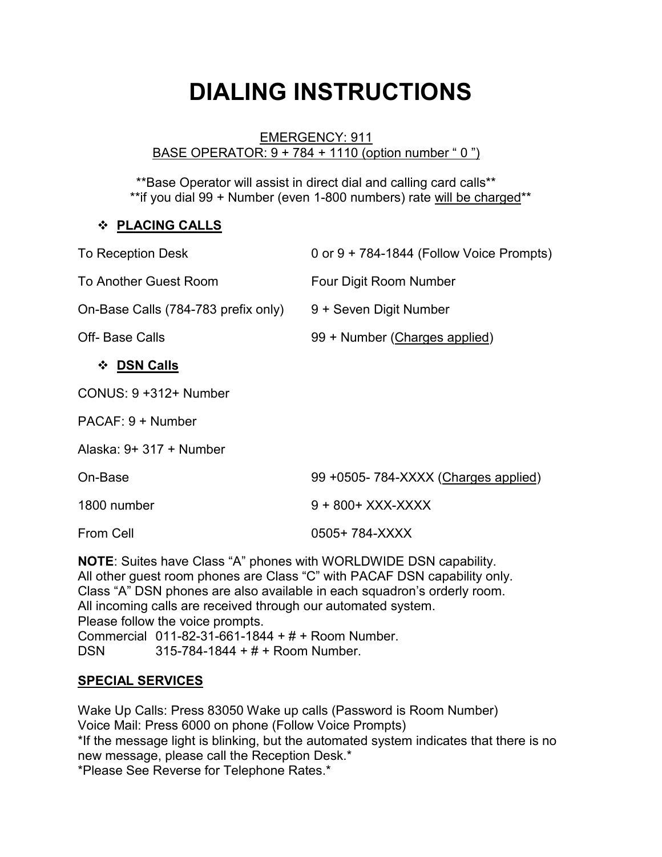# **DIALING INSTRUCTIONS**

#### EMERGENCY: 911 BASE OPERATOR: 9 + 784 + 1110 (option number " 0 ")

\*\*Base Operator will assist in direct dial and calling card calls\*\* \*\*if you dial 99 + Number (even 1-800 numbers) rate will be charged\*\*

### **PLACING CALLS**

| <b>To Reception Desk</b>                                                                                                                                                                                                                                                                           | 0 or $9 + 784 - 1844$ (Follow Voice Prompts) |
|----------------------------------------------------------------------------------------------------------------------------------------------------------------------------------------------------------------------------------------------------------------------------------------------------|----------------------------------------------|
| <b>To Another Guest Room</b>                                                                                                                                                                                                                                                                       | Four Digit Room Number                       |
| On-Base Calls (784-783 prefix only)                                                                                                                                                                                                                                                                | 9 + Seven Digit Number                       |
| <b>Off-Base Calls</b>                                                                                                                                                                                                                                                                              | 99 + Number (Charges applied)                |
| ❖ DSN Calls                                                                                                                                                                                                                                                                                        |                                              |
| CONUS: 9 +312+ Number                                                                                                                                                                                                                                                                              |                                              |
| PACAF: 9 + Number                                                                                                                                                                                                                                                                                  |                                              |
| Alaska: $9+317 +$ Number                                                                                                                                                                                                                                                                           |                                              |
| On-Base                                                                                                                                                                                                                                                                                            | 99 +0505-784-XXXX (Charges applied)          |
| 1800 number                                                                                                                                                                                                                                                                                        | 9 + 800 + XXX-XXXX                           |
| <b>From Cell</b>                                                                                                                                                                                                                                                                                   | 0505+784-XXXX                                |
| <b>NOTE:</b> Suites have Class "A" phones with WORLDWIDE DSN capability.<br>All other guest room phones are Class "C" with PACAF DSN capability only.<br>Class "A" DSN phones are also available in each squadron's orderly room.<br>All incoming calls are received through our automated system. |                                              |

Please follow the voice prompts.

Commercial 011-82-31-661-1844 + # + Room Number.

DSN 315-784-1844 + # + Room Number.

## **SPECIAL SERVICES**

Wake Up Calls: Press 83050 Wake up calls (Password is Room Number) Voice Mail: Press 6000 on phone (Follow Voice Prompts) \*If the message light is blinking, but the automated system indicates that there is no new message, please call the Reception Desk.\* \*Please See Reverse for Telephone Rates.\*